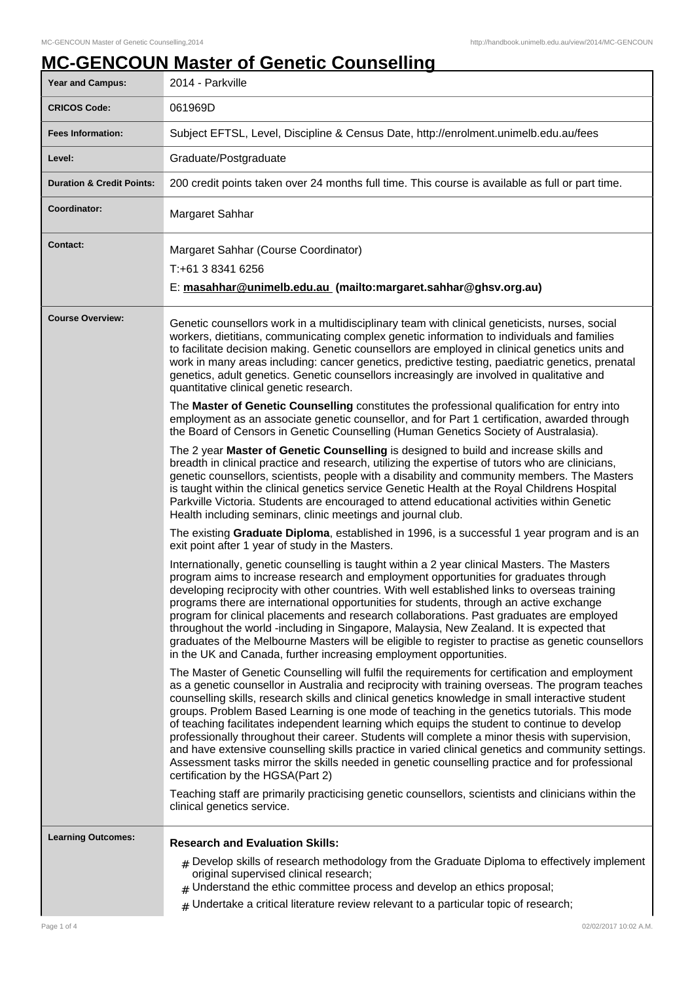# **MC-GENCOUN Master of Genetic Counselling**

| <b>Year and Campus:</b>              | 2014 - Parkville                                                                                                                                                                                                                                                                                                                                                                                                                                                                                                                                                                                                                                                                                                                                                                                                                                                                                                                                                                            |
|--------------------------------------|---------------------------------------------------------------------------------------------------------------------------------------------------------------------------------------------------------------------------------------------------------------------------------------------------------------------------------------------------------------------------------------------------------------------------------------------------------------------------------------------------------------------------------------------------------------------------------------------------------------------------------------------------------------------------------------------------------------------------------------------------------------------------------------------------------------------------------------------------------------------------------------------------------------------------------------------------------------------------------------------|
| <b>CRICOS Code:</b>                  | 061969D                                                                                                                                                                                                                                                                                                                                                                                                                                                                                                                                                                                                                                                                                                                                                                                                                                                                                                                                                                                     |
| <b>Fees Information:</b>             | Subject EFTSL, Level, Discipline & Census Date, http://enrolment.unimelb.edu.au/fees                                                                                                                                                                                                                                                                                                                                                                                                                                                                                                                                                                                                                                                                                                                                                                                                                                                                                                        |
| Level:                               | Graduate/Postgraduate                                                                                                                                                                                                                                                                                                                                                                                                                                                                                                                                                                                                                                                                                                                                                                                                                                                                                                                                                                       |
| <b>Duration &amp; Credit Points:</b> | 200 credit points taken over 24 months full time. This course is available as full or part time.                                                                                                                                                                                                                                                                                                                                                                                                                                                                                                                                                                                                                                                                                                                                                                                                                                                                                            |
| Coordinator:                         | Margaret Sahhar                                                                                                                                                                                                                                                                                                                                                                                                                                                                                                                                                                                                                                                                                                                                                                                                                                                                                                                                                                             |
| <b>Contact:</b>                      | Margaret Sahhar (Course Coordinator)<br>T:+61 3 8341 6256<br>E: masahhar@unimelb.edu.au (mailto:margaret.sahhar@ghsv.org.au)                                                                                                                                                                                                                                                                                                                                                                                                                                                                                                                                                                                                                                                                                                                                                                                                                                                                |
| <b>Course Overview:</b>              | Genetic counsellors work in a multidisciplinary team with clinical geneticists, nurses, social<br>workers, dietitians, communicating complex genetic information to individuals and families<br>to facilitate decision making. Genetic counsellors are employed in clinical genetics units and<br>work in many areas including: cancer genetics, predictive testing, paediatric genetics, prenatal<br>genetics, adult genetics. Genetic counsellors increasingly are involved in qualitative and<br>quantitative clinical genetic research.                                                                                                                                                                                                                                                                                                                                                                                                                                                 |
|                                      | The Master of Genetic Counselling constitutes the professional qualification for entry into<br>employment as an associate genetic counsellor, and for Part 1 certification, awarded through<br>the Board of Censors in Genetic Counselling (Human Genetics Society of Australasia).                                                                                                                                                                                                                                                                                                                                                                                                                                                                                                                                                                                                                                                                                                         |
|                                      | The 2 year Master of Genetic Counselling is designed to build and increase skills and<br>breadth in clinical practice and research, utilizing the expertise of tutors who are clinicians,<br>genetic counsellors, scientists, people with a disability and community members. The Masters<br>is taught within the clinical genetics service Genetic Health at the Royal Childrens Hospital<br>Parkville Victoria. Students are encouraged to attend educational activities within Genetic<br>Health including seminars, clinic meetings and journal club.                                                                                                                                                                                                                                                                                                                                                                                                                                   |
|                                      | The existing Graduate Diploma, established in 1996, is a successful 1 year program and is an<br>exit point after 1 year of study in the Masters.                                                                                                                                                                                                                                                                                                                                                                                                                                                                                                                                                                                                                                                                                                                                                                                                                                            |
|                                      | Internationally, genetic counselling is taught within a 2 year clinical Masters. The Masters<br>program aims to increase research and employment opportunities for graduates through<br>developing reciprocity with other countries. With well established links to overseas training<br>programs there are international opportunities for students, through an active exchange<br>program for clinical placements and research collaborations. Past graduates are employed<br>throughout the world -including in Singapore, Malaysia, New Zealand. It is expected that<br>graduates of the Melbourne Masters will be eligible to register to practise as genetic counsellors<br>in the UK and Canada, further increasing employment opportunities.                                                                                                                                                                                                                                        |
|                                      | The Master of Genetic Counselling will fulfil the requirements for certification and employment<br>as a genetic counsellor in Australia and reciprocity with training overseas. The program teaches<br>counselling skills, research skills and clinical genetics knowledge in small interactive student<br>groups. Problem Based Learning is one mode of teaching in the genetics tutorials. This mode<br>of teaching facilitates independent learning which equips the student to continue to develop<br>professionally throughout their career. Students will complete a minor thesis with supervision,<br>and have extensive counselling skills practice in varied clinical genetics and community settings.<br>Assessment tasks mirror the skills needed in genetic counselling practice and for professional<br>certification by the HGSA(Part 2)<br>Teaching staff are primarily practicising genetic counsellors, scientists and clinicians within the<br>clinical genetics service. |
| <b>Learning Outcomes:</b>            | <b>Research and Evaluation Skills:</b><br>$_{\#}$ Develop skills of research methodology from the Graduate Diploma to effectively implement<br>original supervised clinical research;<br>$#$ Understand the ethic committee process and develop an ethics proposal;                                                                                                                                                                                                                                                                                                                                                                                                                                                                                                                                                                                                                                                                                                                         |
|                                      | $#$ Undertake a critical literature review relevant to a particular topic of research;                                                                                                                                                                                                                                                                                                                                                                                                                                                                                                                                                                                                                                                                                                                                                                                                                                                                                                      |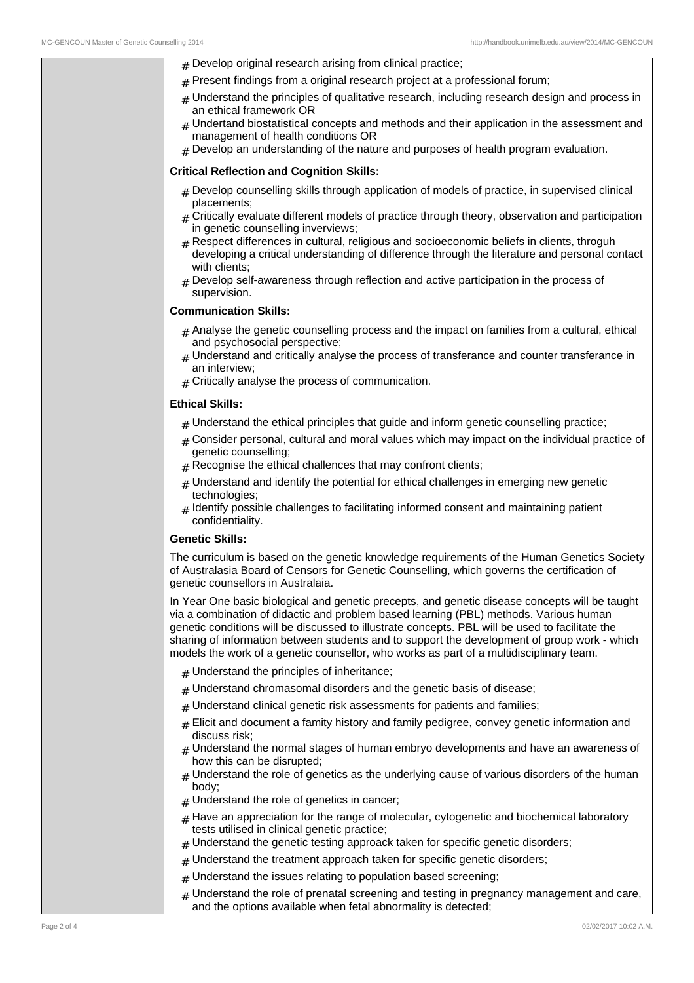- $#$  Develop original research arising from clinical practice;
- $#$  Present findings from a original research project at a professional forum;
- $#$  Understand the principles of qualitative research, including research design and process in an ethical framework OR
- Undertand biostatistical concepts and methods and their application in the assessment and management of health conditions OR
- $#$  Develop an understanding of the nature and purposes of health program evaluation.

#### **Critical Reflection and Cognition Skills:**

- $#$  Develop counselling skills through application of models of practice, in supervised clinical placements;
- Critically evaluate different models of practice through theory, observation and participation in genetic counselling inverviews;
- # Respect differences in cultural, religious and socioeconomic beliefs in clients, throguh developing a critical understanding of difference through the literature and personal contact with clients;
- $#$  Develop self-awareness through reflection and active participation in the process of supervision.

#### **Communication Skills:**

- $#$  Analyse the genetic counselling process and the impact on families from a cultural, ethical and psychosocial perspective;
- $#$  Understand and critically analyse the process of transferance and counter transferance in an interview;
- $#$  Critically analyse the process of communication.

## **Ethical Skills:**

- $#$  Understand the ethical principles that guide and inform genetic counselling practice;
- $#$  Consider personal, cultural and moral values which may impact on the individual practice of genetic counselling;
- $#$  Recognise the ethical challences that may confront clients;
- $#$  Understand and identify the potential for ethical challenges in emerging new genetic technologies;
- # Identify possible challenges to facilitating informed consent and maintaining patient confidentiality.

### **Genetic Skills:**

The curriculum is based on the genetic knowledge requirements of the Human Genetics Society of Australasia Board of Censors for Genetic Counselling, which governs the certification of genetic counsellors in Australaia.

In Year One basic biological and genetic precepts, and genetic disease concepts will be taught via a combination of didactic and problem based learning (PBL) methods. Various human genetic conditions will be discussed to illustrate concepts. PBL will be used to facilitate the sharing of information between students and to support the development of group work - which models the work of a genetic counsellor, who works as part of a multidisciplinary team.

- $#$  Understand the principles of inheritance;
- $#$  Understand chromasomal disorders and the genetic basis of disease;
- $#$  Understand clinical genetic risk assessments for patients and families;
- $#$  Elicit and document a famity history and family pedigree, convey genetic information and discuss risk;
- $#$  Understand the normal stages of human embryo developments and have an awareness of how this can be disrupted;
- $#$  Understand the role of genetics as the underlying cause of various disorders of the human body;
- $#$  Understand the role of genetics in cancer;
- $#$  Have an appreciation for the range of molecular, cytogenetic and biochemical laboratory tests utilised in clinical genetic practice;
- $#$  Understand the genetic testing approack taken for specific genetic disorders;
- $#$  Understand the treatment approach taken for specific genetic disorders;
	- $#$  Understand the issues relating to population based screening;
	- $#$  Understand the role of prenatal screening and testing in pregnancy management and care, and the options available when fetal abnormality is detected;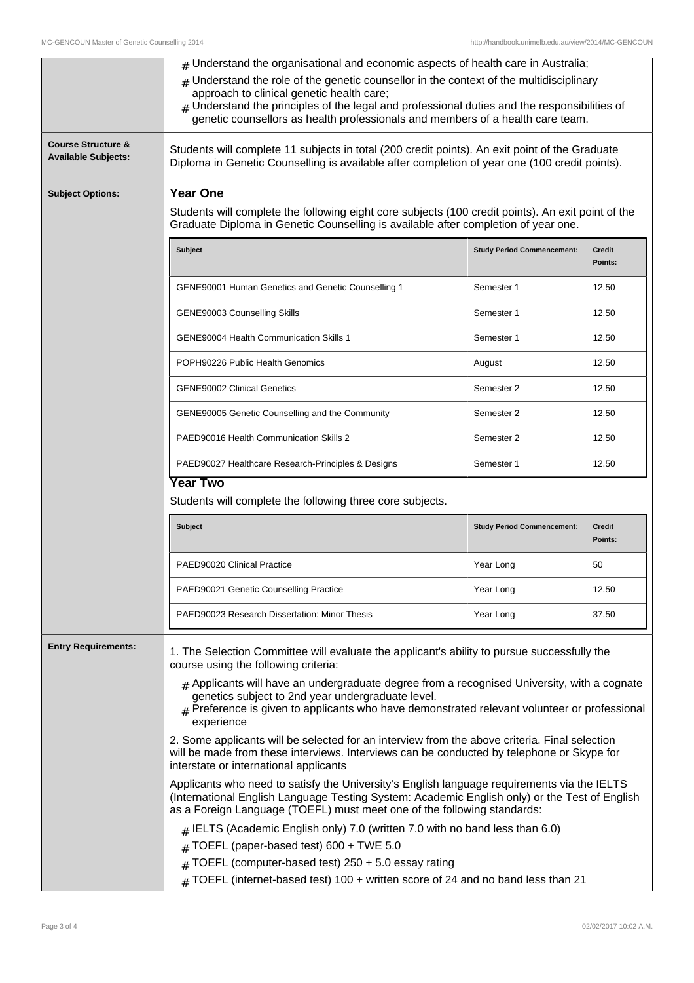|                                                             | $#$ Understand the organisational and economic aspects of health care in Australia;<br>Understand the role of the genetic counsellor in the context of the multidisciplinary<br>#<br>approach to clinical genetic health care;<br>$#$ Understand the principles of the legal and professional duties and the responsibilities of<br>genetic counsellors as health professionals and members of a health care team. |                                                                                                                                                                                          |                          |  |  |
|-------------------------------------------------------------|--------------------------------------------------------------------------------------------------------------------------------------------------------------------------------------------------------------------------------------------------------------------------------------------------------------------------------------------------------------------------------------------------------------------|------------------------------------------------------------------------------------------------------------------------------------------------------------------------------------------|--------------------------|--|--|
| <b>Course Structure &amp;</b><br><b>Available Subjects:</b> | Students will complete 11 subjects in total (200 credit points). An exit point of the Graduate<br>Diploma in Genetic Counselling is available after completion of year one (100 credit points).                                                                                                                                                                                                                    |                                                                                                                                                                                          |                          |  |  |
| <b>Subject Options:</b>                                     | <b>Year One</b>                                                                                                                                                                                                                                                                                                                                                                                                    |                                                                                                                                                                                          |                          |  |  |
|                                                             |                                                                                                                                                                                                                                                                                                                                                                                                                    | Students will complete the following eight core subjects (100 credit points). An exit point of the<br>Graduate Diploma in Genetic Counselling is available after completion of year one. |                          |  |  |
|                                                             | Subject                                                                                                                                                                                                                                                                                                                                                                                                            | <b>Study Period Commencement:</b>                                                                                                                                                        | <b>Credit</b><br>Points: |  |  |
|                                                             | GENE90001 Human Genetics and Genetic Counselling 1                                                                                                                                                                                                                                                                                                                                                                 | Semester 1                                                                                                                                                                               | 12.50                    |  |  |
|                                                             | GENE90003 Counselling Skills                                                                                                                                                                                                                                                                                                                                                                                       | Semester 1                                                                                                                                                                               | 12.50                    |  |  |
|                                                             | GENE90004 Health Communication Skills 1                                                                                                                                                                                                                                                                                                                                                                            | Semester 1                                                                                                                                                                               | 12.50                    |  |  |
|                                                             | POPH90226 Public Health Genomics                                                                                                                                                                                                                                                                                                                                                                                   | August                                                                                                                                                                                   | 12.50                    |  |  |
|                                                             | <b>GENE90002 Clinical Genetics</b>                                                                                                                                                                                                                                                                                                                                                                                 | Semester 2                                                                                                                                                                               | 12.50                    |  |  |
|                                                             | GENE90005 Genetic Counselling and the Community                                                                                                                                                                                                                                                                                                                                                                    | Semester 2                                                                                                                                                                               | 12.50                    |  |  |
|                                                             | PAED90016 Health Communication Skills 2                                                                                                                                                                                                                                                                                                                                                                            | Semester 2                                                                                                                                                                               | 12.50                    |  |  |
|                                                             |                                                                                                                                                                                                                                                                                                                                                                                                                    |                                                                                                                                                                                          |                          |  |  |
|                                                             | PAED90027 Healthcare Research-Principles & Designs                                                                                                                                                                                                                                                                                                                                                                 | Semester 1                                                                                                                                                                               | 12.50                    |  |  |
|                                                             | <b>Year Two</b><br>Students will complete the following three core subjects.                                                                                                                                                                                                                                                                                                                                       |                                                                                                                                                                                          |                          |  |  |
|                                                             | <b>Subject</b>                                                                                                                                                                                                                                                                                                                                                                                                     | <b>Study Period Commencement:</b>                                                                                                                                                        | <b>Credit</b><br>Points: |  |  |
|                                                             | PAED90020 Clinical Practice                                                                                                                                                                                                                                                                                                                                                                                        | Year Long                                                                                                                                                                                | 50                       |  |  |
|                                                             | PAED90021 Genetic Counselling Practice                                                                                                                                                                                                                                                                                                                                                                             | Year Long                                                                                                                                                                                | 12.50                    |  |  |
|                                                             | PAED90023 Research Dissertation: Minor Thesis                                                                                                                                                                                                                                                                                                                                                                      | Year Long                                                                                                                                                                                | 37.50                    |  |  |
| <b>Entry Requirements:</b>                                  | 1. The Selection Committee will evaluate the applicant's ability to pursue successfully the<br>course using the following criteria:                                                                                                                                                                                                                                                                                |                                                                                                                                                                                          |                          |  |  |
|                                                             | $#$ Applicants will have an undergraduate degree from a recognised University, with a cognate<br>genetics subject to 2nd year undergraduate level.<br>$#$ Preference is given to applicants who have demonstrated relevant volunteer or professional<br>experience                                                                                                                                                 |                                                                                                                                                                                          |                          |  |  |
|                                                             | 2. Some applicants will be selected for an interview from the above criteria. Final selection<br>will be made from these interviews. Interviews can be conducted by telephone or Skype for<br>interstate or international applicants                                                                                                                                                                               |                                                                                                                                                                                          |                          |  |  |
|                                                             | Applicants who need to satisfy the University's English language requirements via the IELTS<br>(International English Language Testing System: Academic English only) or the Test of English<br>as a Foreign Language (TOEFL) must meet one of the following standards:                                                                                                                                            |                                                                                                                                                                                          |                          |  |  |
|                                                             | $#$ IELTS (Academic English only) 7.0 (written 7.0 with no band less than 6.0)                                                                                                                                                                                                                                                                                                                                     |                                                                                                                                                                                          |                          |  |  |
|                                                             | TOEFL (paper-based test) 600 + TWE 5.0<br>#<br>TOEFL (computer-based test) 250 + 5.0 essay rating<br>$\pm$                                                                                                                                                                                                                                                                                                         |                                                                                                                                                                                          |                          |  |  |